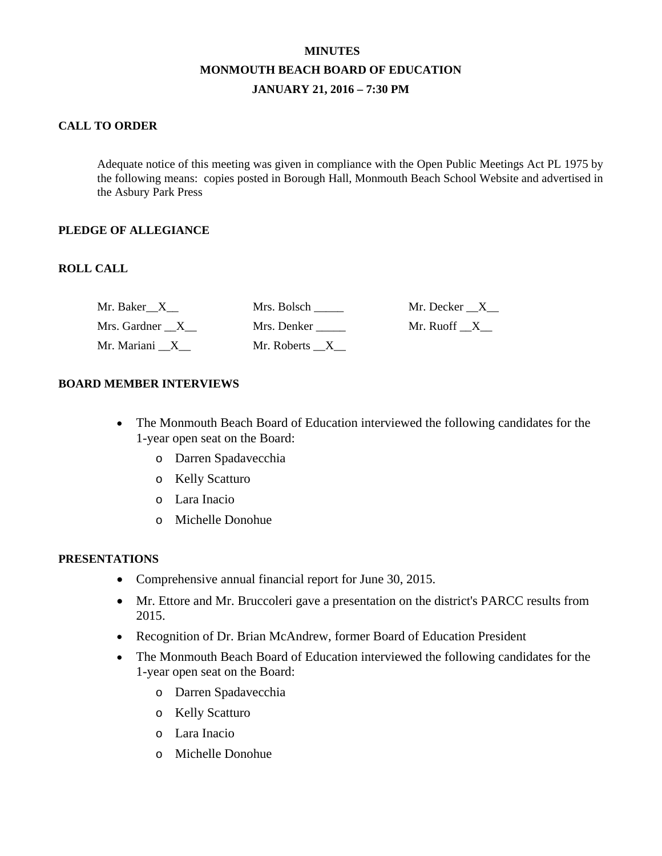# **MINUTES MONMOUTH BEACH BOARD OF EDUCATION JANUARY 21, 2016 – 7:30 PM**

## **CALL TO ORDER**

Adequate notice of this meeting was given in compliance with the Open Public Meetings Act PL 1975 by the following means: copies posted in Borough Hall, Monmouth Beach School Website and advertised in the Asbury Park Press

### **PLEDGE OF ALLEGIANCE**

### **ROLL CALL**

| Mr. Baker X    | Mrs. Bolsch               | Mr. Decker X |
|----------------|---------------------------|--------------|
| Mrs. Gardner X | Mrs. Denker               | Mr. Ruoff X  |
| Mr. Mariani X  | Mr. Roberts $_{\_}X_{\_}$ |              |

### **BOARD MEMBER INTERVIEWS**

- The Monmouth Beach Board of Education interviewed the following candidates for the 1-year open seat on the Board:
	- o Darren Spadavecchia
	- o Kelly Scatturo
	- o Lara Inacio
	- o Michelle Donohue

#### **PRESENTATIONS**

- Comprehensive annual financial report for June 30, 2015.
- Mr. Ettore and Mr. Bruccoleri gave a presentation on the district's PARCC results from 2015.
- Recognition of Dr. Brian McAndrew, former Board of Education President
- The Monmouth Beach Board of Education interviewed the following candidates for the 1-year open seat on the Board:
	- o Darren Spadavecchia
	- o Kelly Scatturo
	- o Lara Inacio
	- o Michelle Donohue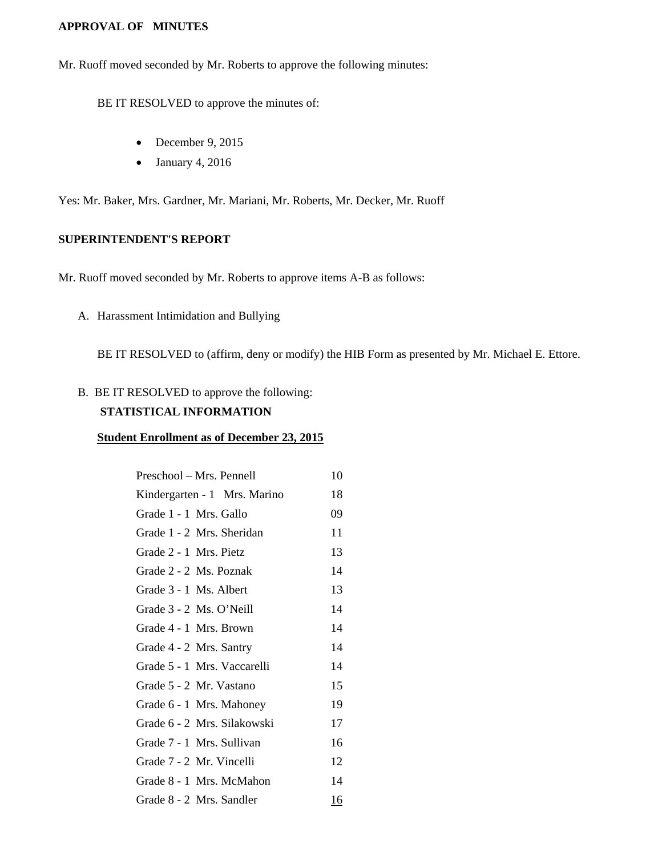#### **APPROVAL OF MINUTES**

Mr. Ruoff moved seconded by Mr. Roberts to approve the following minutes:

BE IT RESOLVED to approve the minutes of:

- December 9, 2015
- January 4, 2016

Yes: Mr. Baker, Mrs. Gardner, Mr. Mariani, Mr. Roberts, Mr. Decker, Mr. Ruoff

#### **SUPERINTENDENT'S REPORT**

Mr. Ruoff moved seconded by Mr. Roberts to approve items A-B as follows:

A. Harassment Intimidation and Bullying

BE IT RESOLVED to (affirm, deny or modify) the HIB Form as presented by Mr. Michael E. Ettore.

B. BE IT RESOLVED to approve the following:

## **STATISTICAL INFORMATION**

#### **Student Enrollment as of December 23, 2015**

| Preschool - Mrs. Pennell     | 10        |
|------------------------------|-----------|
| Kindergarten - 1 Mrs. Marino | 18        |
| Grade 1 - 1 Mrs. Gallo       | 09        |
| Grade 1 - 2 Mrs. Sheridan    | 11        |
| Grade 2 - 1 Mrs. Pietz       | 13        |
| Grade 2 - 2 Ms. Poznak       | 14        |
| Grade 3 - 1 Ms. Albert       | 13        |
| Grade 3 - 2 Ms. O'Neill      | 14        |
| Grade 4 - 1 Mrs. Brown       | 14        |
| Grade 4 - 2 Mrs. Santry      | 14        |
| Grade 5 - 1 Mrs. Vaccarelli  | 14        |
| Grade 5 - 2 Mr. Vastano      | 15        |
| Grade 6 - 1 Mrs. Mahoney     | 19        |
| Grade 6 - 2 Mrs. Silakowski  | 17        |
| Grade 7 - 1 Mrs. Sullivan    | 16        |
| Grade 7 - 2 Mr. Vincelli     | 12        |
| Grade 8 - 1 Mrs. McMahon     | 14        |
| Grade 8 - 2 Mrs. Sandler     | <u>16</u> |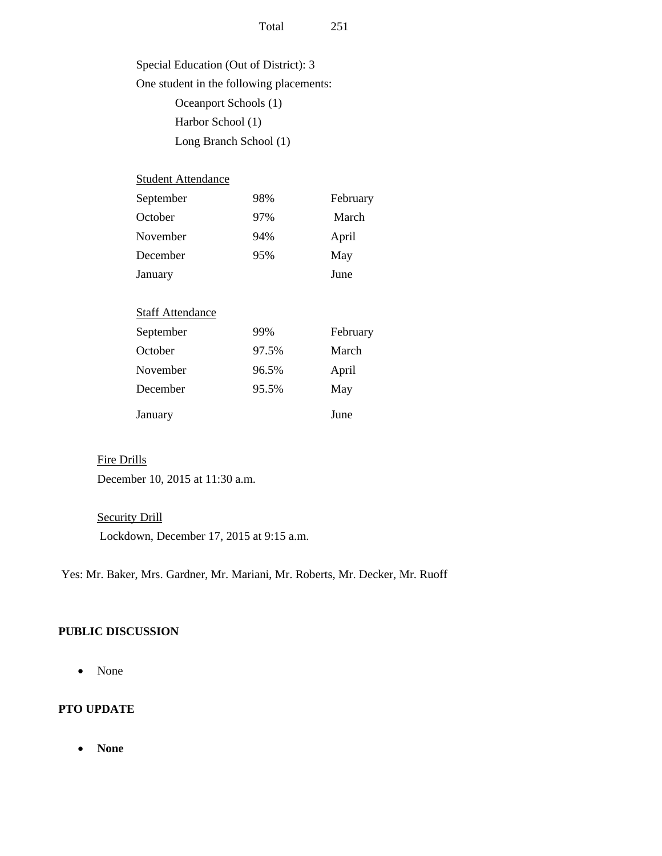Special Education (Out of District): 3 One student in the following placements: Oceanport Schools (1) Harbor School (1) Long Branch School (1)

| <b>Student Attendance</b> |       |          |
|---------------------------|-------|----------|
| September                 | 98%   | February |
| October                   | 97%   | March    |
| November                  | 94%   | April    |
| December                  | 95%   | May      |
| January                   |       | June     |
|                           |       |          |
| <b>Staff Attendance</b>   |       |          |
| September                 | 99%   | February |
| October                   | 97.5% | March    |
| November                  | 96.5% | April    |
| December                  | 95.5% | May      |
| January                   |       | June     |

#### Fire Drills

December 10, 2015 at 11:30 a.m.

### **Security Drill**

Lockdown, December 17, 2015 at 9:15 a.m.

Yes: Mr. Baker, Mrs. Gardner, Mr. Mariani, Mr. Roberts, Mr. Decker, Mr. Ruoff

#### **PUBLIC DISCUSSION**

• None

## **PTO UPDATE**

• **None**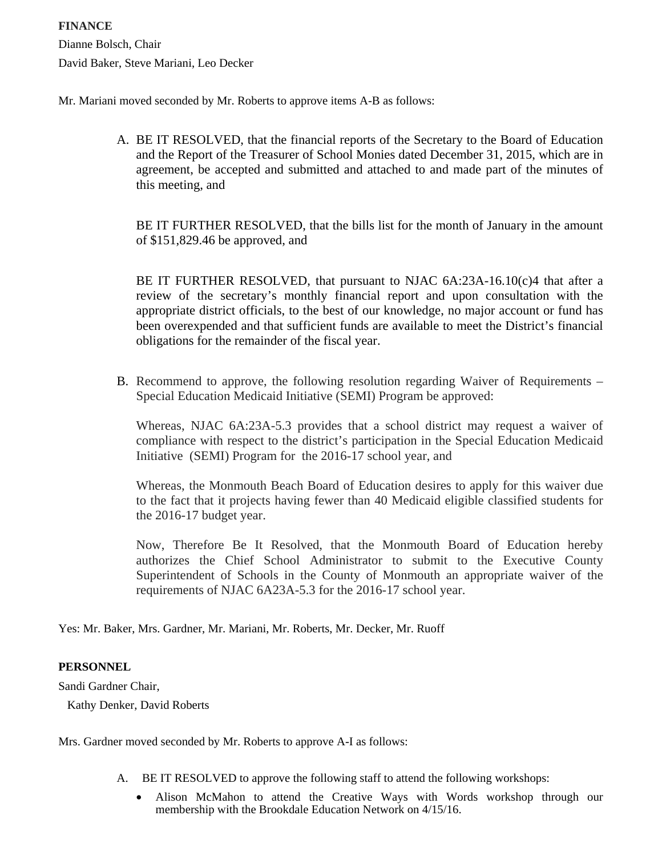Mr. Mariani moved seconded by Mr. Roberts to approve items A-B as follows:

A. BE IT RESOLVED, that the financial reports of the Secretary to the Board of Education and the Report of the Treasurer of School Monies dated December 31, 2015, which are in agreement, be accepted and submitted and attached to and made part of the minutes of this meeting, and

BE IT FURTHER RESOLVED, that the bills list for the month of January in the amount of \$151,829.46 be approved, and

BE IT FURTHER RESOLVED, that pursuant to NJAC  $6A:23A-16.10(c)4$  that after a review of the secretary's monthly financial report and upon consultation with the appropriate district officials, to the best of our knowledge, no major account or fund has been overexpended and that sufficient funds are available to meet the District's financial obligations for the remainder of the fiscal year.

B. Recommend to approve, the following resolution regarding Waiver of Requirements – Special Education Medicaid Initiative (SEMI) Program be approved:

Whereas, NJAC 6A:23A-5.3 provides that a school district may request a waiver of compliance with respect to the district's participation in the Special Education Medicaid Initiative (SEMI) Program for the 2016-17 school year, and

Whereas, the Monmouth Beach Board of Education desires to apply for this waiver due to the fact that it projects having fewer than 40 Medicaid eligible classified students for the 2016-17 budget year.

Now, Therefore Be It Resolved, that the Monmouth Board of Education hereby authorizes the Chief School Administrator to submit to the Executive County Superintendent of Schools in the County of Monmouth an appropriate waiver of the requirements of NJAC 6A23A-5.3 for the 2016-17 school year.

Yes: Mr. Baker, Mrs. Gardner, Mr. Mariani, Mr. Roberts, Mr. Decker, Mr. Ruoff

## **PERSONNEL**

Sandi Gardner Chair,

Kathy Denker, David Roberts

Mrs. Gardner moved seconded by Mr. Roberts to approve A-I as follows:

- A. BE IT RESOLVED to approve the following staff to attend the following workshops:
	- Alison McMahon to attend the Creative Ways with Words workshop through our membership with the Brookdale Education Network on 4/15/16.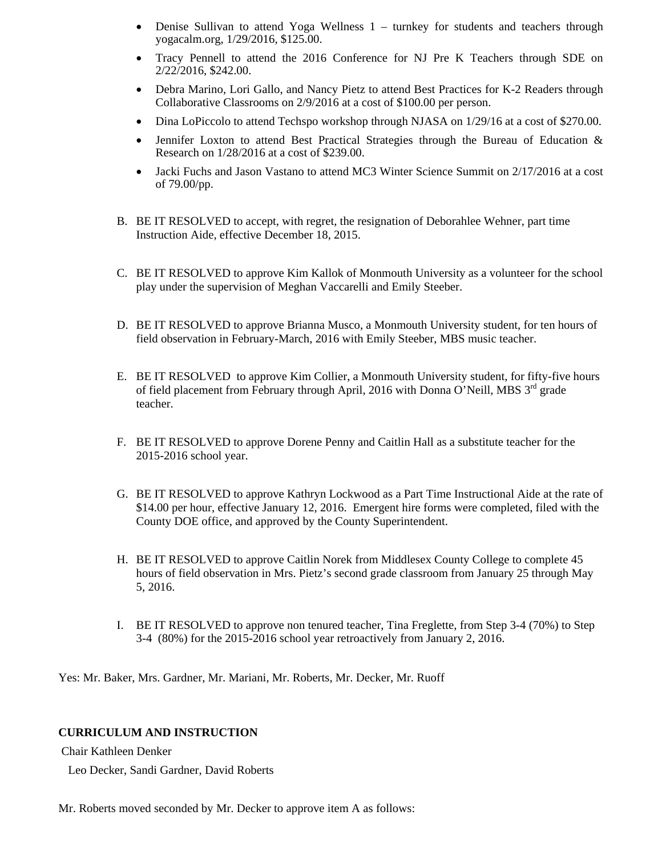- Denise Sullivan to attend Yoga Wellness 1 turnkey for students and teachers through yogacalm.org, 1/29/2016, \$125.00.
- Tracy Pennell to attend the 2016 Conference for NJ Pre K Teachers through SDE on 2/22/2016, \$242.00.
- Debra Marino, Lori Gallo, and Nancy Pietz to attend Best Practices for K-2 Readers through Collaborative Classrooms on 2/9/2016 at a cost of \$100.00 per person.
- Dina LoPiccolo to attend Techspo workshop through NJASA on 1/29/16 at a cost of \$270.00.
- Jennifer Loxton to attend Best Practical Strategies through the Bureau of Education & Research on 1/28/2016 at a cost of \$239.00.
- Jacki Fuchs and Jason Vastano to attend MC3 Winter Science Summit on 2/17/2016 at a cost of 79.00/pp.
- B. BE IT RESOLVED to accept, with regret, the resignation of Deborahlee Wehner, part time Instruction Aide, effective December 18, 2015.
- C. BE IT RESOLVED to approve Kim Kallok of Monmouth University as a volunteer for the school play under the supervision of Meghan Vaccarelli and Emily Steeber.
- D. BE IT RESOLVED to approve Brianna Musco, a Monmouth University student, for ten hours of field observation in February-March, 2016 with Emily Steeber, MBS music teacher.
- E. BE IT RESOLVED to approve Kim Collier, a Monmouth University student, for fifty-five hours of field placement from February through April, 2016 with Donna O'Neill, MBS  $3^{rd}$  grade teacher.
- F. BE IT RESOLVED to approve Dorene Penny and Caitlin Hall as a substitute teacher for the 2015-2016 school year.
- G. BE IT RESOLVED to approve Kathryn Lockwood as a Part Time Instructional Aide at the rate of \$14.00 per hour, effective January 12, 2016. Emergent hire forms were completed, filed with the County DOE office, and approved by the County Superintendent.
- H. BE IT RESOLVED to approve Caitlin Norek from Middlesex County College to complete 45 hours of field observation in Mrs. Pietz's second grade classroom from January 25 through May 5, 2016.
- I. BE IT RESOLVED to approve non tenured teacher, Tina Freglette, from Step 3-4 (70%) to Step 3-4 (80%) for the 2015-2016 school year retroactively from January 2, 2016.

Yes: Mr. Baker, Mrs. Gardner, Mr. Mariani, Mr. Roberts, Mr. Decker, Mr. Ruoff

#### **CURRICULUM AND INSTRUCTION**

Chair Kathleen Denker

Leo Decker, Sandi Gardner, David Roberts

Mr. Roberts moved seconded by Mr. Decker to approve item A as follows: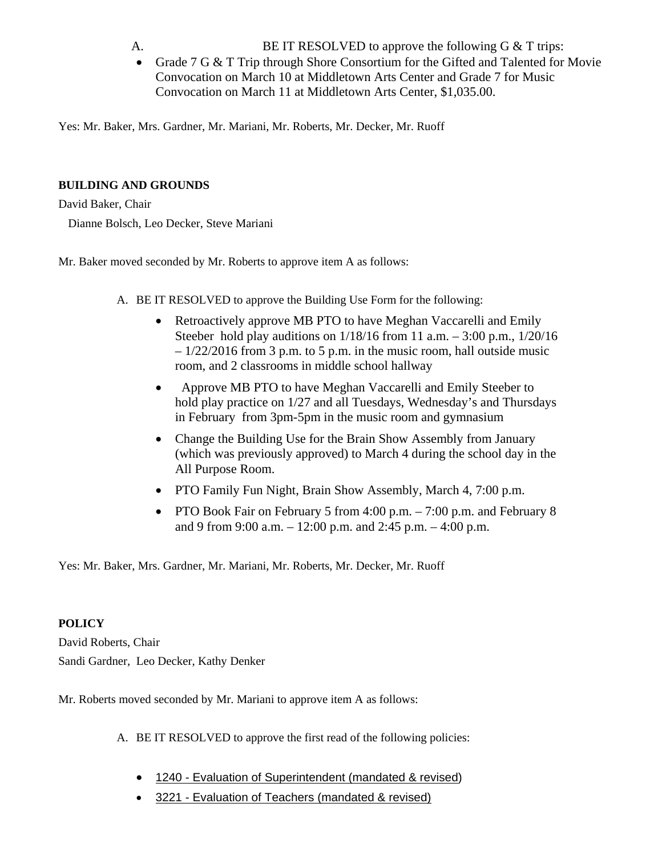- A. BE IT RESOLVED to approve the following G  $\&$  T trips:
- Grade 7 G & T Trip through Shore Consortium for the Gifted and Talented for Movie Convocation on March 10 at Middletown Arts Center and Grade 7 for Music Convocation on March 11 at Middletown Arts Center, \$1,035.00.

Yes: Mr. Baker, Mrs. Gardner, Mr. Mariani, Mr. Roberts, Mr. Decker, Mr. Ruoff

## **BUILDING AND GROUNDS**

David Baker, Chair Dianne Bolsch, Leo Decker, Steve Mariani

Mr. Baker moved seconded by Mr. Roberts to approve item A as follows:

- A. BE IT RESOLVED to approve the Building Use Form for the following:
	- Retroactively approve MB PTO to have Meghan Vaccarelli and Emily Steeber hold play auditions on  $1/18/16$  from 11 a.m.  $-3:00$  p.m.,  $1/20/16$  $-1/22/2016$  from 3 p.m. to 5 p.m. in the music room, hall outside music room, and 2 classrooms in middle school hallway
	- Approve MB PTO to have Meghan Vaccarelli and Emily Steeber to hold play practice on 1/27 and all Tuesdays, Wednesday's and Thursdays in February from 3pm-5pm in the music room and gymnasium
	- Change the Building Use for the Brain Show Assembly from January (which was previously approved) to March 4 during the school day in the All Purpose Room.
	- PTO Family Fun Night, Brain Show Assembly, March 4, 7:00 p.m.
	- PTO Book Fair on February 5 from 4:00 p.m. 7:00 p.m. and February 8 and 9 from 9:00 a.m. – 12:00 p.m. and 2:45 p.m. – 4:00 p.m.

Yes: Mr. Baker, Mrs. Gardner, Mr. Mariani, Mr. Roberts, Mr. Decker, Mr. Ruoff

## **POLICY**

David Roberts, Chair Sandi Gardner, Leo Decker, Kathy Denker

Mr. Roberts moved seconded by Mr. Mariani to approve item A as follows:

A. BE IT RESOLVED to approve the first read of the following policies:

- 1240 Evaluation of Superintendent (mandated & revised)
- 3221 Evaluation of Teachers (mandated & revised)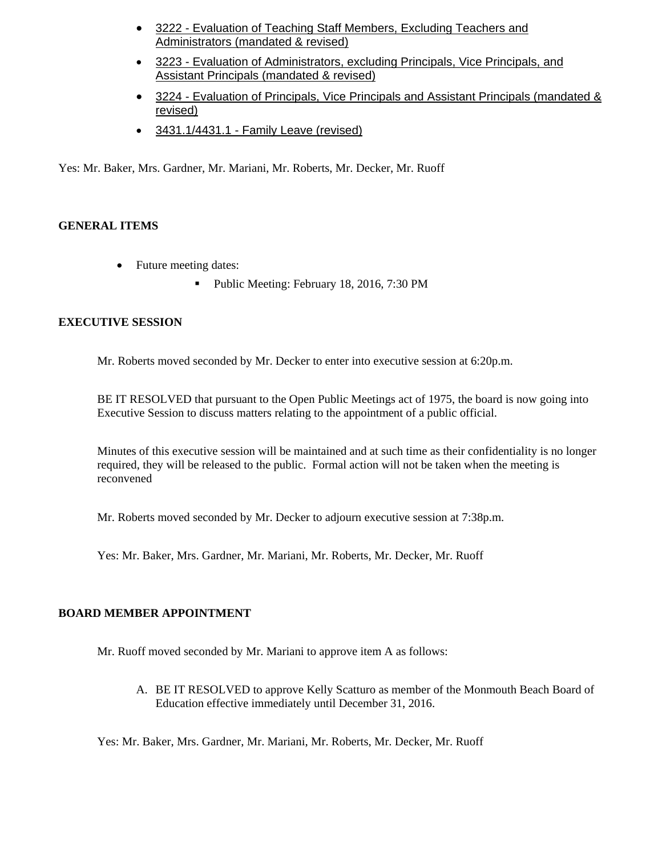- 3222 Evaluation of Teaching Staff Members, Excluding Teachers and Administrators (mandated & revised)
- 3223 Evaluation of Administrators, excluding Principals, Vice Principals, and Assistant Principals (mandated & revised)
- 3224 Evaluation of Principals, Vice Principals and Assistant Principals (mandated & revised)
- 3431.1/4431.1 Family Leave (revised)

Yes: Mr. Baker, Mrs. Gardner, Mr. Mariani, Mr. Roberts, Mr. Decker, Mr. Ruoff

### **GENERAL ITEMS**

- Future meeting dates:
	- Public Meeting: February 18, 2016, 7:30 PM

### **EXECUTIVE SESSION**

Mr. Roberts moved seconded by Mr. Decker to enter into executive session at 6:20p.m.

BE IT RESOLVED that pursuant to the Open Public Meetings act of 1975, the board is now going into Executive Session to discuss matters relating to the appointment of a public official.

Minutes of this executive session will be maintained and at such time as their confidentiality is no longer required, they will be released to the public. Formal action will not be taken when the meeting is reconvened

Mr. Roberts moved seconded by Mr. Decker to adjourn executive session at 7:38p.m.

Yes: Mr. Baker, Mrs. Gardner, Mr. Mariani, Mr. Roberts, Mr. Decker, Mr. Ruoff

#### **BOARD MEMBER APPOINTMENT**

Mr. Ruoff moved seconded by Mr. Mariani to approve item A as follows:

A. BE IT RESOLVED to approve Kelly Scatturo as member of the Monmouth Beach Board of Education effective immediately until December 31, 2016.

Yes: Mr. Baker, Mrs. Gardner, Mr. Mariani, Mr. Roberts, Mr. Decker, Mr. Ruoff